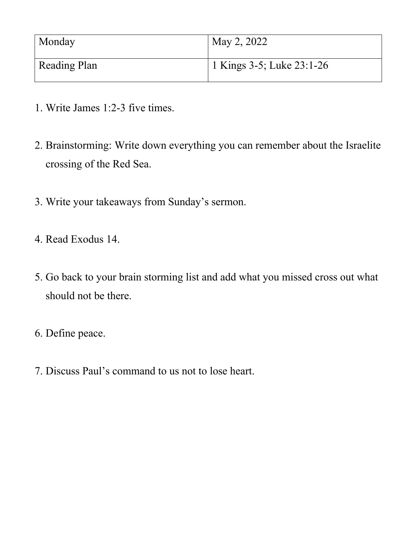| Monday              | May 2, 2022                            |
|---------------------|----------------------------------------|
| <b>Reading Plan</b> | <sup>1</sup> 1 Kings 3-5; Luke 23:1-26 |

- 1. Write James 1:2-3 five times.
- 2. Brainstorming: Write down everything you can remember about the Israelite crossing of the Red Sea.
- 3. Write your takeaways from Sunday's sermon.
- 4. Read Exodus 14.
- 5. Go back to your brain storming list and add what you missed cross out what should not be there.
- 6. Define peace.
- 7. Discuss Paul's command to us not to lose heart.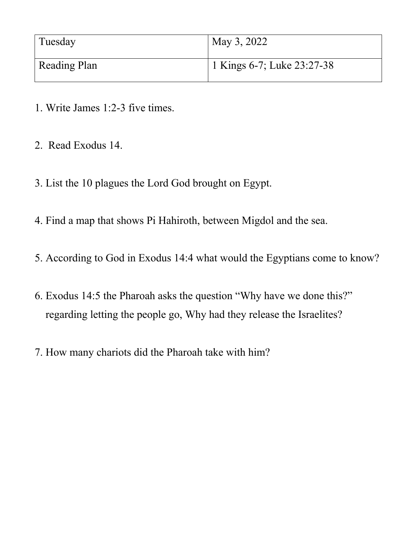| Tuesday      | May 3, 2022                |
|--------------|----------------------------|
| Reading Plan | 1 Kings 6-7; Luke 23:27-38 |

- 1. Write James 1:2-3 five times.
- 2. Read Exodus 14.
- 3. List the 10 plagues the Lord God brought on Egypt.
- 4. Find a map that shows Pi Hahiroth, between Migdol and the sea.
- 5. According to God in Exodus 14:4 what would the Egyptians come to know?
- 6. Exodus 14:5 the Pharoah asks the question "Why have we done this?" regarding letting the people go, Why had they release the Israelites?
- 7. How many chariots did the Pharoah take with him?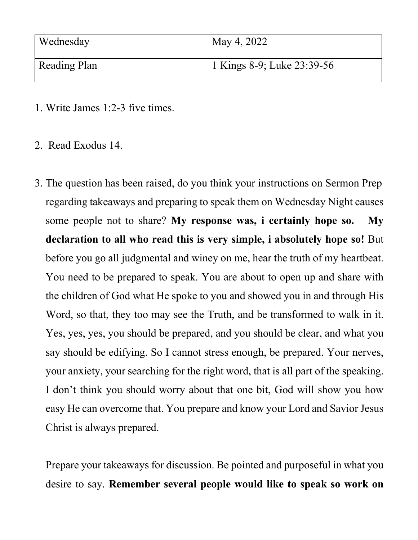| Wednesday           | May 4, 2022                             |
|---------------------|-----------------------------------------|
| <b>Reading Plan</b> | <sup>1</sup> 1 Kings 8-9; Luke 23:39-56 |

- 1. Write James 1:2-3 five times.
- 2. Read Exodus 14.
- 3. The question has been raised, do you think your instructions on Sermon Prep regarding takeaways and preparing to speak them on Wednesday Night causes some people not to share? **My response was, i certainly hope so. My declaration to all who read this is very simple, i absolutely hope so!** But before you go all judgmental and winey on me, hear the truth of my heartbeat. You need to be prepared to speak. You are about to open up and share with the children of God what He spoke to you and showed you in and through His Word, so that, they too may see the Truth, and be transformed to walk in it. Yes, yes, yes, you should be prepared, and you should be clear, and what you say should be edifying. So I cannot stress enough, be prepared. Your nerves, your anxiety, your searching for the right word, that is all part of the speaking. I don't think you should worry about that one bit, God will show you how easy He can overcome that. You prepare and know your Lord and Savior Jesus Christ is always prepared.

Prepare your takeaways for discussion. Be pointed and purposeful in what you desire to say. **Remember several people would like to speak so work on**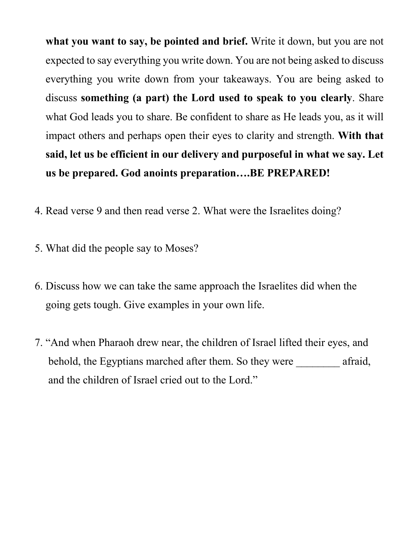**what you want to say, be pointed and brief.** Write it down, but you are not expected to say everything you write down. You are not being asked to discuss everything you write down from your takeaways. You are being asked to discuss **something (a part) the Lord used to speak to you clearly**. Share what God leads you to share. Be confident to share as He leads you, as it will impact others and perhaps open their eyes to clarity and strength. **With that said, let us be efficient in our delivery and purposeful in what we say. Let us be prepared. God anoints preparation….BE PREPARED!**

- 4. Read verse 9 and then read verse 2. What were the Israelites doing?
- 5. What did the people say to Moses?
- 6. Discuss how we can take the same approach the Israelites did when the going gets tough. Give examples in your own life.
- 7. "And when Pharaoh drew near, the children of Israel lifted their eyes, and behold, the Egyptians marched after them. So they were \_\_\_\_\_\_\_\_ afraid, and the children of Israel cried out to the Lord."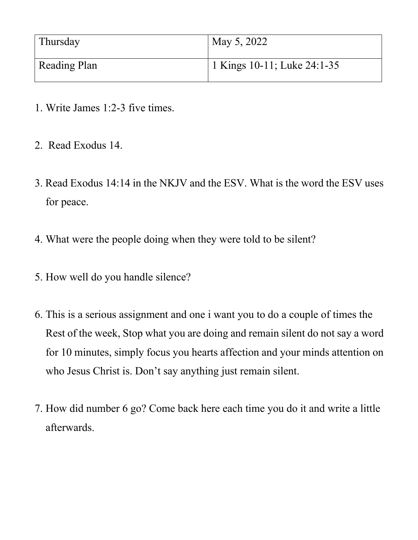| Thursday     | May 5, 2022                 |
|--------------|-----------------------------|
| Reading Plan | 1 Kings 10-11; Luke 24:1-35 |

- 1. Write James 1:2-3 five times.
- 2. Read Exodus 14.
- 3. Read Exodus 14:14 in the NKJV and the ESV. What is the word the ESV uses for peace.
- 4. What were the people doing when they were told to be silent?
- 5. How well do you handle silence?
- 6. This is a serious assignment and one i want you to do a couple of times the Rest of the week, Stop what you are doing and remain silent do not say a word for 10 minutes, simply focus you hearts affection and your minds attention on who Jesus Christ is. Don't say anything just remain silent.
- 7. How did number 6 go? Come back here each time you do it and write a little afterwards.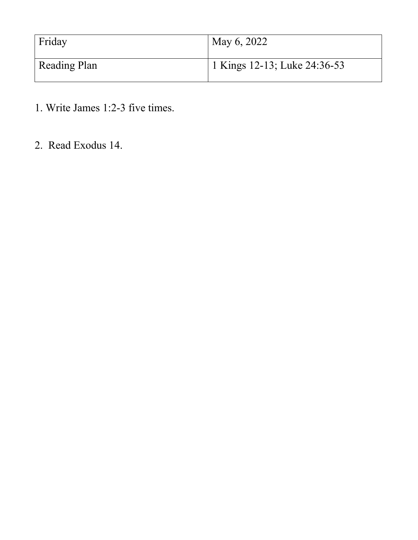| Friday       | May 6, 2022                               |
|--------------|-------------------------------------------|
| Reading Plan | <sup>1</sup> 1 Kings 12-13; Luke 24:36-53 |

- 1. Write James 1:2-3 five times.
- 2. Read Exodus 14.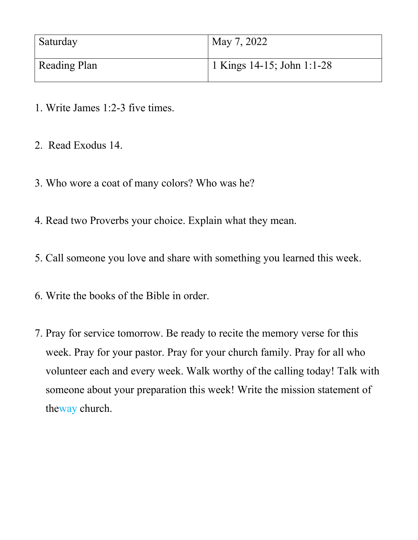| Saturday     | May 7, 2022                |
|--------------|----------------------------|
| Reading Plan | 1 Kings 14-15; John 1:1-28 |

- 1. Write James 1:2-3 five times.
- 2. Read Exodus 14.
- 3. Who wore a coat of many colors? Who was he?
- 4. Read two Proverbs your choice. Explain what they mean.
- 5. Call someone you love and share with something you learned this week.
- 6. Write the books of the Bible in order.
- 7. Pray for service tomorrow. Be ready to recite the memory verse for this week. Pray for your pastor. Pray for your church family. Pray for all who volunteer each and every week. Walk worthy of the calling today! Talk with someone about your preparation this week! Write the mission statement of theway church.